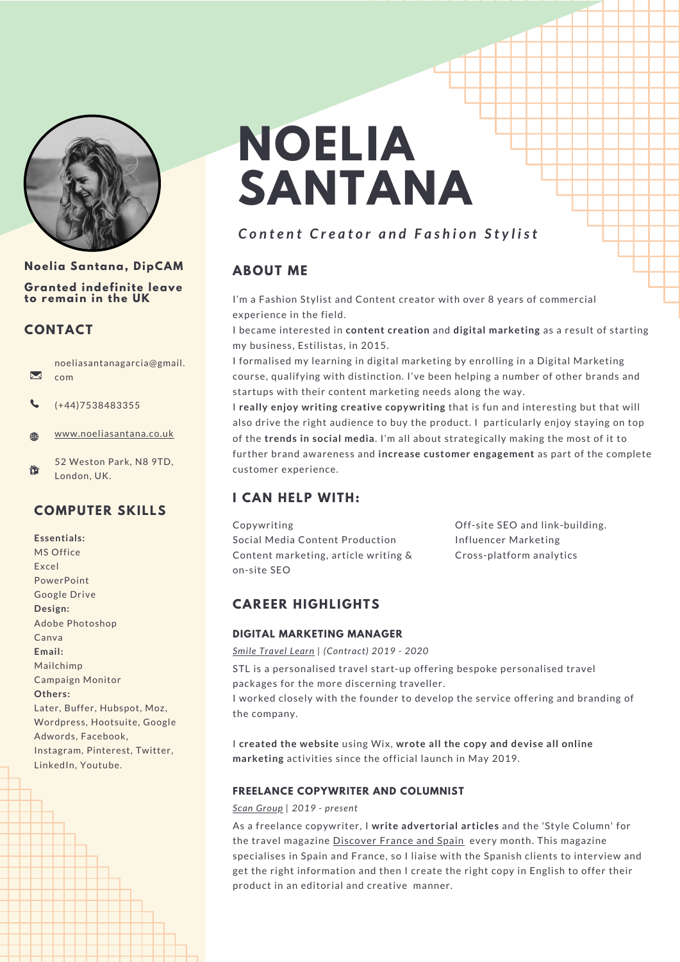

#### **Noelia Santana, DipCAM**

**Granted indefinite leave to remain in the UK**

## **CONTACT**

noeliasantanagarcia@gmail.  $\blacktriangledown$ com

- (+44)7538483355
- [www.noeliasantana.co.uk](https://www.noeliasantana.co.uk/) 4€0
- 52 Weston Park, N8 9TD, 仚 London, UK.

## **COMPUTER SKILLS**

**Essentials:** MS Office Excel PowerPoint Google Drive **Design:** Adobe Photoshop Canva **Email:** Mailchimp Campaign Monitor **Others:** Later, Buffer, Hubspot, Moz, Wordpress, Hootsuite, Google Adwords, Facebook, Instagram, Pinterest, Twitter, LinkedIn, Youtube.

# **NOELIA SANTANA**

# Content Creator and Fashion Stylist

## **ABOUT ME**

I'm a Fashion Stylist and Content creator with over 8 years of commercial experience in the field.

I became interested in **content creation** and **digital marketing** as a result of starting my business, Estilistas, in 2015.

I formalised my learning in digital marketing by enrolling in a Digital Marketing course, qualifying with distinction. I've been helping a number of other brands and startups with their content marketing needs along the way.

I **really enjoy writing creative copywriting** that is fun and interesting but that will also drive the right audience to buy the product. I particularly enjoy staying on top of the **trends in social media**. I'm all about strategically making the most of it to further brand awareness and **increase customer engagement** as part of the complete customer experience.

## **I CAN HELP WITH:**

Copywriting Social Media Content Production Content marketing, article writing & on-site SEO

Off-site SEO and link-building. Influencer Marketing Cross-platform analytics

## **CAREER HIGHLIGHTS**

#### **DIGITAL MARKETING MANAGER**

*Smile [Travel](https://www.smiletravellearn.com/) Learn | (Contract) 2019 - 2020*

STL is a personalised travel start-up offering bespoke personalised travel packages for the more discerning traveller. I worked closely with the founder to develop the service offering and branding of

the company.

I **created the website** using Wix, **wrote all the copy and devise all online marketing** activities since the official launch in May 2019.

#### **FREELANCE COPYWRITER AND COLUMNIST**

*Scan [Group](https://scangroup.co.uk/) | 2019 - present*

As a freelance copywriter, I **write advertorial articles** and the 'Style Column' for the travel magazine [Discover](https://www.discoverfranceandspain.com/magazine/) France and Spain every month. This magazine specialises in Spain and France, so I liaise with the Spanish clients to interview and get the right information and then I create the right copy in English to offer their product in an editorial and creative manner.